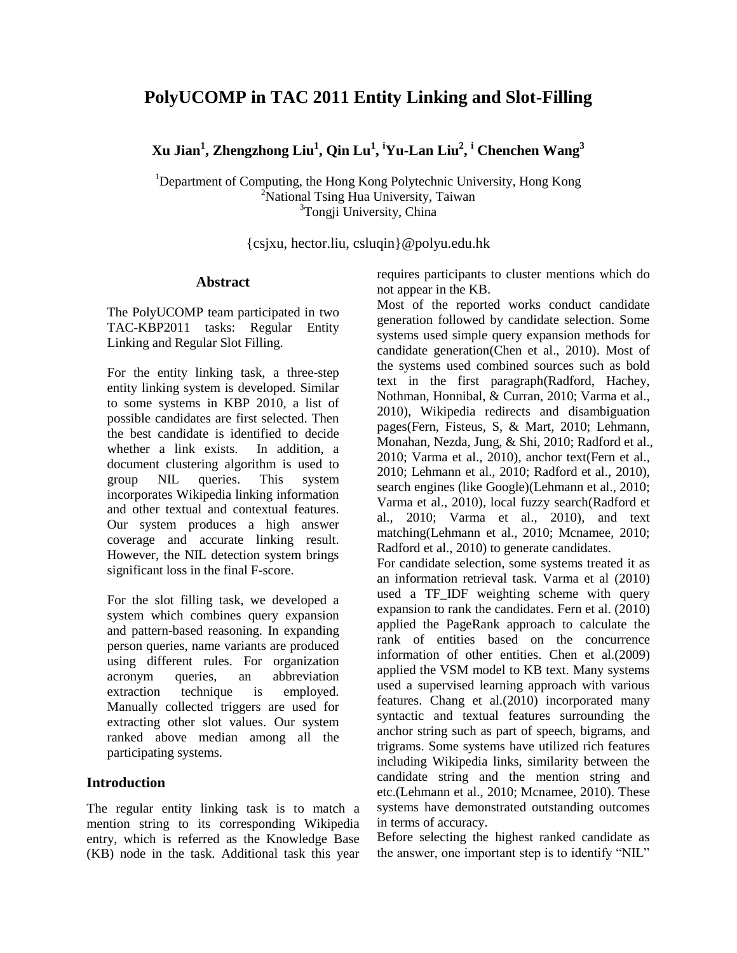# **PolyUCOMP in TAC 2011 Entity Linking and Slot-Filling**

**Xu Jian<sup>1</sup> , Zhengzhong Liu<sup>1</sup> , Qin Lu<sup>1</sup> , <sup>i</sup>Yu-Lan Liu<sup>2</sup> , <sup>i</sup> Chenchen Wang<sup>3</sup>**

<sup>1</sup>Department of Computing, the Hong Kong Polytechnic University, Hong Kong <sup>2</sup>National Tsing Hua University, Taiwan <sup>3</sup>Tongji University, China

[{csjxu,](mailto:csjxu@comp.polyu.edu.hk) hector.liu, csluqin}@polyu.edu.hk

### **Abstract**

The PolyUCOMP team participated in two TAC-KBP2011 tasks: Regular Entity Linking and Regular Slot Filling.

For the entity linking task, a three-step entity linking system is developed. Similar to some systems in KBP 2010, a list of possible candidates are first selected. Then the best candidate is identified to decide whether a link exists. In addition, a document clustering algorithm is used to group NIL queries. This system incorporates Wikipedia linking information and other textual and contextual features. Our system produces a high answer coverage and accurate linking result. However, the NIL detection system brings significant loss in the final F-score.

For the slot filling task, we developed a system which combines query expansion and pattern-based reasoning. In expanding person queries, name variants are produced using different rules. For organization acronym queries, an abbreviation extraction technique is employed. Manually collected triggers are used for extracting other slot values. Our system ranked above median among all the participating systems.

# **Introduction**

The regular entity linking task is to match a mention string to its corresponding Wikipedia entry, which is referred as the Knowledge Base (KB) node in the task. Additional task this year requires participants to cluster mentions which do not appear in the KB.

Most of the reported works conduct candidate generation followed by candidate selection. Some systems used simple query expansion methods for candidate generation(Chen et al., 2010). Most of the systems used combined sources such as bold text in the first paragraph(Radford, Hachey, Nothman, Honnibal, & Curran, 2010; Varma et al., 2010), Wikipedia redirects and disambiguation pages(Fern, Fisteus, S, & Mart, 2010; Lehmann, Monahan, Nezda, Jung, & Shi, 2010; Radford et al., 2010; Varma et al., 2010), anchor text(Fern et al., 2010; Lehmann et al., 2010; Radford et al., 2010), search engines (like Google)(Lehmann et al., 2010; Varma et al., 2010), local fuzzy search(Radford et al., 2010; Varma et al., 2010), and text matching(Lehmann et al., 2010; Mcnamee, 2010; Radford et al., 2010) to generate candidates.

For candidate selection, some systems treated it as an information retrieval task. Varma et al (2010) used a TF IDF weighting scheme with query expansion to rank the candidates. Fern et al. (2010) applied the PageRank approach to calculate the rank of entities based on the concurrence information of other entities. Chen et al.(2009) applied the VSM model to KB text. Many systems used a supervised learning approach with various features. Chang et al.(2010) incorporated many syntactic and textual features surrounding the anchor string such as part of speech, bigrams, and trigrams. Some systems have utilized rich features including Wikipedia links, similarity between the candidate string and the mention string and etc.(Lehmann et al., 2010; Mcnamee, 2010). These systems have demonstrated outstanding outcomes in terms of accuracy.

Before selecting the highest ranked candidate as the answer, one important step is to identify "NIL"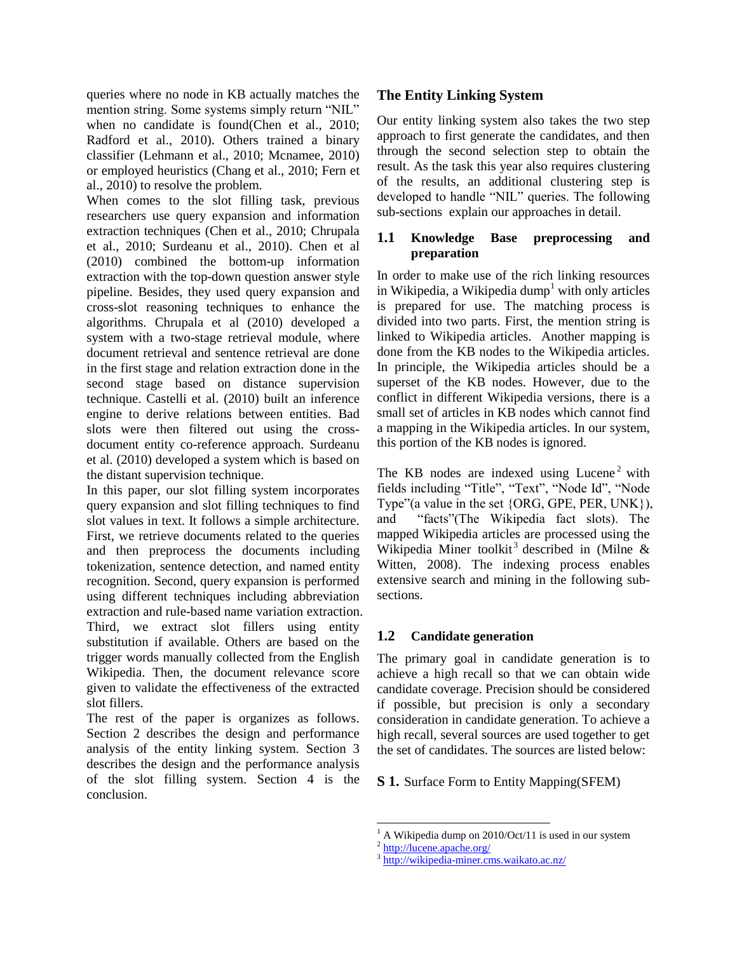queries where no node in KB actually matches the mention string. Some systems simply return "NIL" when no candidate is found(Chen et al., 2010; Radford et al., 2010). Others trained a binary classifier (Lehmann et al., 2010; Mcnamee, 2010) or employed heuristics (Chang et al., 2010; Fern et al., 2010) to resolve the problem.

When comes to the slot filling task, previous researchers use query expansion and information extraction techniques (Chen et al., 2010; Chrupala et al., 2010; Surdeanu et al., 2010). Chen et al (2010) combined the bottom-up information extraction with the top-down question answer style pipeline. Besides, they used query expansion and cross-slot reasoning techniques to enhance the algorithms. Chrupala et al (2010) developed a system with a two-stage retrieval module, where document retrieval and sentence retrieval are done in the first stage and relation extraction done in the second stage based on distance supervision technique. Castelli et al. (2010) built an inference engine to derive relations between entities. Bad slots were then filtered out using the crossdocument entity co-reference approach. Surdeanu et al. (2010) developed a system which is based on the distant supervision technique.

In this paper, our slot filling system incorporates query expansion and slot filling techniques to find slot values in text. It follows a simple architecture. First, we retrieve documents related to the queries and then preprocess the documents including tokenization, sentence detection, and named entity recognition. Second, query expansion is performed using different techniques including abbreviation extraction and rule-based name variation extraction. Third, we extract slot fillers using entity substitution if available. Others are based on the trigger words manually collected from the English Wikipedia. Then, the document relevance score given to validate the effectiveness of the extracted slot fillers.

The rest of the paper is organizes as follows. Section 2 describes the design and performance analysis of the entity linking system. Section 3 describes the design and the performance analysis of the slot filling system. Section 4 is the conclusion.

# **The Entity Linking System**

Our entity linking system also takes the two step approach to first generate the candidates, and then through the second selection step to obtain the result. As the task this year also requires clustering of the results, an additional clustering step is developed to handle "NIL" queries. The following sub-sections explain our approaches in detail.

### **1.1 Knowledge Base preprocessing and preparation**

In order to make use of the rich linking resources in Wikipedia, a Wikipedia dump<sup>1</sup> with only articles is prepared for use. The matching process is divided into two parts. First, the mention string is linked to Wikipedia articles. Another mapping is done from the KB nodes to the Wikipedia articles. In principle, the Wikipedia articles should be a superset of the KB nodes. However, due to the conflict in different Wikipedia versions, there is a small set of articles in KB nodes which cannot find a mapping in the Wikipedia articles. In our system, this portion of the KB nodes is ignored.

The KB nodes are indexed using Lucene<sup>2</sup> with fields including "Title", "Text", "Node Id", "Node Type"(a value in the set {ORG, GPE, PER, UNK}), and "facts"(The Wikipedia fact slots). The mapped Wikipedia articles are processed using the Wikipedia Miner toolkit<sup>3</sup> described in (Milne & Witten, 2008). The indexing process enables extensive search and mining in the following subsections.

# **1.2 Candidate generation**

The primary goal in candidate generation is to achieve a high recall so that we can obtain wide candidate coverage. Precision should be considered if possible, but precision is only a secondary consideration in candidate generation. To achieve a high recall, several sources are used together to get the set of candidates. The sources are listed below:

**S 1.** Surface Form to Entity Mapping(SFEM)

 $\overline{a}$ 

<sup>1</sup> A Wikipedia dump on 2010/Oct/11 is used in our system

<sup>&</sup>lt;sup>2</sup> <http://lucene.apache.org/>

<sup>&</sup>lt;sup>3</sup> <http://wikipedia-miner.cms.waikato.ac.nz/>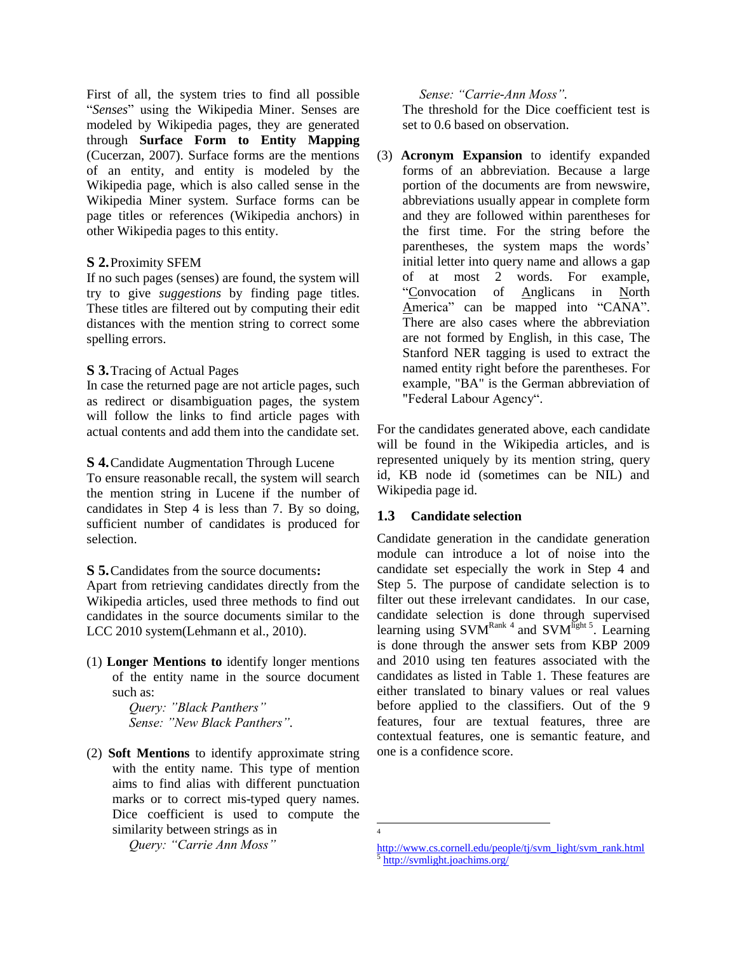First of all, the system tries to find all possible "*Senses*" using the Wikipedia Miner. Senses are modeled by Wikipedia pages, they are generated through **Surface Form to Entity Mapping** (Cucerzan, 2007). Surface forms are the mentions of an entity, and entity is modeled by the Wikipedia page, which is also called sense in the Wikipedia Miner system. Surface forms can be page titles or references (Wikipedia anchors) in other Wikipedia pages to this entity.

### **S 2.**Proximity SFEM

If no such pages (senses) are found, the system will try to give *suggestions* by finding page titles. These titles are filtered out by computing their edit distances with the mention string to correct some spelling errors.

### **S 3.**Tracing of Actual Pages

In case the returned page are not article pages, such as redirect or disambiguation pages, the system will follow the links to find article pages with actual contents and add them into the candidate set.

### **S 4.**Candidate Augmentation Through Lucene

To ensure reasonable recall, the system will search the mention string in Lucene if the number of candidates in Step 4 is less than 7. By so doing, sufficient number of candidates is produced for selection.

### **S 5.**Candidates from the source documents**:**

Apart from retrieving candidates directly from the Wikipedia articles, used three methods to find out candidates in the source documents similar to the LCC 2010 system(Lehmann et al., 2010).

(1) **Longer Mentions to** identify longer mentions of the entity name in the source document such as:

> *Query: "Black Panthers" Sense: "New Black Panthers".*

(2) **Soft Mentions** to identify approximate string with the entity name. This type of mention aims to find alias with different punctuation marks or to correct mis-typed query names. Dice coefficient is used to compute the similarity between strings as in

*Query: "Carrie Ann Moss"* 

### *Sense: "Carrie-Ann Moss".*

The threshold for the Dice coefficient test is set to 0.6 based on observation.

(3) **Acronym Expansion** to identify expanded forms of an abbreviation. Because a large portion of the documents are from newswire, abbreviations usually appear in complete form and they are followed within parentheses for the first time. For the string before the parentheses, the system maps the words' initial letter into query name and allows a gap of at most 2 words. For example, "Convocation of Anglicans in North America" can be mapped into "CANA". There are also cases where the abbreviation are not formed by English, in this case, The Stanford NER tagging is used to extract the named entity right before the parentheses. For example, "BA" is the German abbreviation of "Federal Labour Agency".

For the candidates generated above, each candidate will be found in the Wikipedia articles, and is represented uniquely by its mention string, query id, KB node id (sometimes can be NIL) and Wikipedia page id.

# **1.3 Candidate selection**

Candidate generation in the candidate generation module can introduce a lot of noise into the candidate set especially the work in Step 4 and Step 5. The purpose of candidate selection is to filter out these irrelevant candidates. In our case, candidate selection is done through supervised learning using  $SVM^{Rank 4}$  and  $SVM^{light 5}$ . Learning is done through the answer sets from KBP 2009 and 2010 using ten features associated with the candidates as listed in Table 1. These features are either translated to binary values or real values before applied to the classifiers. Out of the 9 features, four are textual features, three are contextual features, one is semantic feature, and one is a confidence score.

 $\overline{a}$ 4

[http://www.cs.cornell.edu/people/tj/svm\\_light/svm\\_rank.html](http://www.cs.cornell.edu/people/tj/svm_light/svm_rank.html)

<sup>5</sup> <http://svmlight.joachims.org/>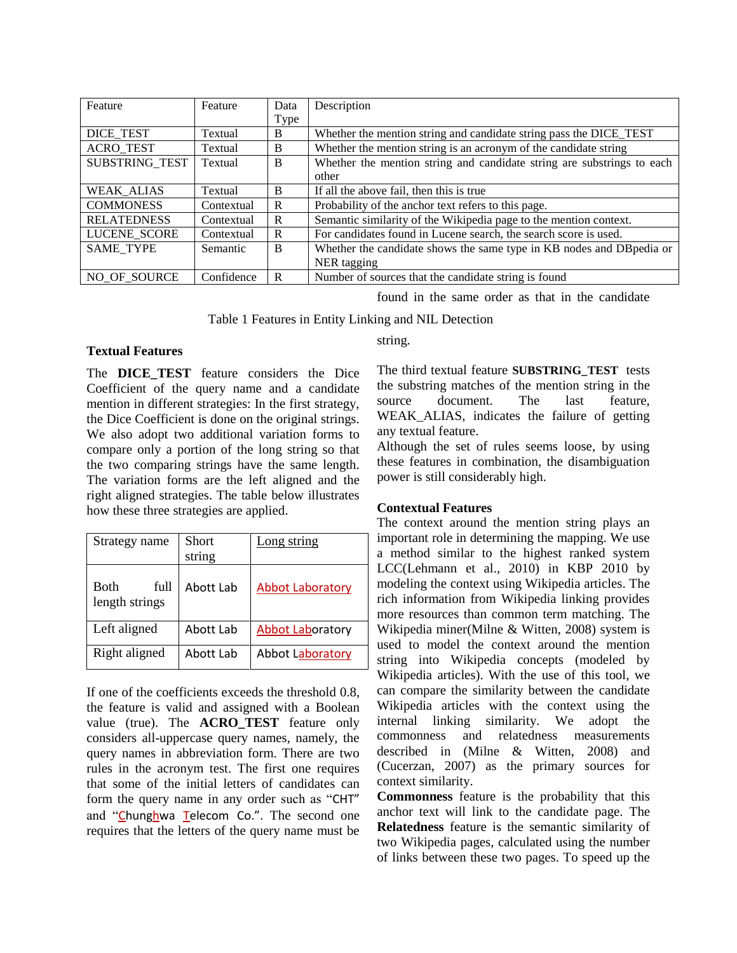| Feature            | Feature    | Data | Description                                                            |  |
|--------------------|------------|------|------------------------------------------------------------------------|--|
|                    |            | Type |                                                                        |  |
| DICE_TEST          | Textual    | B    | Whether the mention string and candidate string pass the DICE_TEST     |  |
| <b>ACRO TEST</b>   | Textual    | B    | Whether the mention string is an acronym of the candidate string       |  |
| SUBSTRING TEST     | Textual    | B    | Whether the mention string and candidate string are substrings to each |  |
|                    |            |      | other                                                                  |  |
| WEAK ALIAS         | Textual    | B    | If all the above fail, then this is true                               |  |
| <b>COMMONESS</b>   | Contextual | R    | Probability of the anchor text refers to this page.                    |  |
| <b>RELATEDNESS</b> | Contextual | R    | Semantic similarity of the Wikipedia page to the mention context.      |  |
| LUCENE SCORE       | Contextual | R    | For candidates found in Lucene search, the search score is used.       |  |
| <b>SAME TYPE</b>   | Semantic   | B    | Whether the candidate shows the same type in KB nodes and DB pedia or  |  |
|                    |            |      | NER tagging                                                            |  |
| NO OF SOURCE       | Confidence | R    | Number of sources that the candidate string is found                   |  |

found in the same order as that in the candidate

Table 1 Features in Entity Linking and NIL Detection

### **Textual Features**

The **DICE TEST** feature considers the Dice Coefficient of the query name and a candidate mention in different strategies: In the first strategy, the Dice Coefficient is done on the original strings. We also adopt two additional variation forms to compare only a portion of the long string so that the two comparing strings have the same length. The variation forms are the left aligned and the right aligned strategies. The table below illustrates how these three strategies are applied.

| Strategy name                  | Short<br>string | Long string             |
|--------------------------------|-----------------|-------------------------|
| Both<br>full<br>length strings | Abott Lab       | Abbot Laboratory        |
| Left aligned                   | Abott Lab       | <b>Abbot Laboratory</b> |
| Right aligned                  | Abott Lab       | <b>Abbot Laboratory</b> |

If one of the coefficients exceeds the threshold 0.8, the feature is valid and assigned with a Boolean value (true). The **ACRO\_TEST** feature only considers all-uppercase query names, namely, the query names in abbreviation form. There are two rules in the acronym test. The first one requires that some of the initial letters of candidates can form the query name in any order such as "CHT" and "Chunghwa Telecom Co.". The second one requires that the letters of the query name must be string.

The third textual feature **SUBSTRING\_TEST** tests the substring matches of the mention string in the source document. The last feature, WEAK ALIAS, indicates the failure of getting any textual feature.

Although the set of rules seems loose, by using these features in combination, the disambiguation power is still considerably high.

### **Contextual Features**

The context around the mention string plays an important role in determining the mapping. We use a method similar to the highest ranked system LCC(Lehmann et al., 2010) in KBP 2010 by modeling the context using Wikipedia articles. The rich information from Wikipedia linking provides more resources than common term matching. The Wikipedia miner(Milne & Witten, 2008) system is used to model the context around the mention string into Wikipedia concepts (modeled by Wikipedia articles). With the use of this tool, we can compare the similarity between the candidate Wikipedia articles with the context using the internal linking similarity. We adopt the commonness and relatedness measurements described in (Milne & Witten, 2008) and (Cucerzan, 2007) as the primary sources for context similarity.

**Commonness** feature is the probability that this anchor text will link to the candidate page. The **Relatedness** feature is the semantic similarity of two Wikipedia pages, calculated using the number of links between these two pages. To speed up the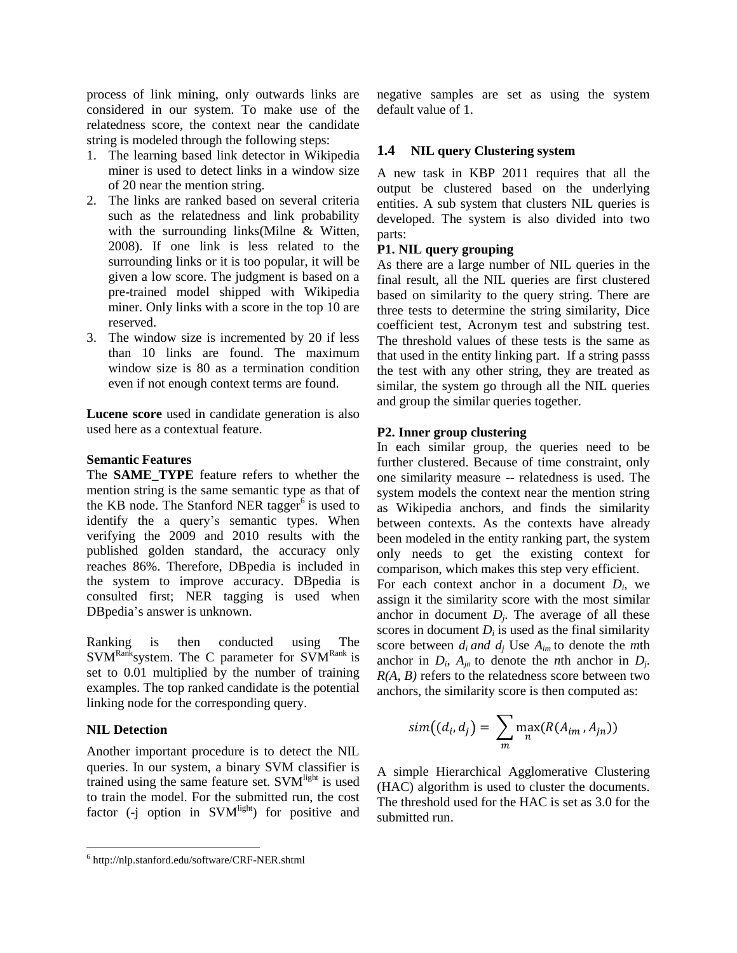process of link mining, only outwards links are considered in our system. To make use of the relatedness score, the context near the candidate string is modeled through the following steps:

- 1. The learning based link detector in Wikipedia miner is used to detect links in a window size of 20 near the mention string.
- 2. The links are ranked based on several criteria such as the relatedness and link probability with the surrounding links(Milne & Witten, 2008). If one link is less related to the surrounding links or it is too popular, it will be given a low score. The judgment is based on a pre-trained model shipped with Wikipedia miner. Only links with a score in the top 10 are reserved.
- 3. The window size is incremented by 20 if less than 10 links are found. The maximum window size is 80 as a termination condition even if not enough context terms are found.

**Lucene score** used in candidate generation is also used here as a contextual feature.

#### **Semantic Features**

The **SAME\_TYPE** feature refers to whether the mention string is the same semantic type as that of the KB node. The Stanford NER tagger $6$  is used to identify the a query's semantic types. When verifying the 2009 and 2010 results with the published golden standard, the accuracy only reaches 86%. Therefore, DBpedia is included in the system to improve accuracy. DBpedia is consulted first; NER tagging is used when DBpedia"s answer is unknown.

Ranking is then conducted using The  $SVM<sup>Rank</sup> system$ . The C parameter for  $SVM<sup>Rank</sup>$  is set to 0.01 multiplied by the number of training examples. The top ranked candidate is the potential linking node for the corresponding query.

#### **NIL Detection**

 $\overline{a}$ 

Another important procedure is to detect the NIL queries. In our system, a binary SVM classifier is trained using the same feature set.  $SVM<sup>light</sup>$  is used to train the model. For the submitted run, the cost factor (-j option in SVM<sup>light</sup>) for positive and negative samples are set as using the system default value of 1.

#### **1.4 NIL query Clustering system**

A new task in KBP 2011 requires that all the output be clustered based on the underlying entities. A sub system that clusters NIL queries is developed. The system is also divided into two parts:

#### **P1. NIL query grouping**

As there are a large number of NIL queries in the final result, all the NIL queries are first clustered based on similarity to the query string. There are three tests to determine the string similarity, Dice coefficient test, Acronym test and substring test. The threshold values of these tests is the same as that used in the entity linking part. If a string passs the test with any other string, they are treated as similar, the system go through all the NIL queries and group the similar queries together.

#### **P2. Inner group clustering**

In each similar group, the queries need to be further clustered. Because of time constraint, only one similarity measure -- relatedness is used. The system models the context near the mention string as Wikipedia anchors, and finds the similarity between contexts. As the contexts have already been modeled in the entity ranking part, the system only needs to get the existing context for comparison, which makes this step very efficient. For each context anchor in a document  $D_i$ , we assign it the similarity score with the most similar anchor in document  $D_j$ . The average of all these scores in document  $D_i$  is used as the final similarity score between  $d_i$  *and*  $d_j$  Use  $A_{im}$  to denote the *m*th anchor in  $D_i$ ,  $A_{jn}$  to denote the *n*th anchor in  $D_j$ . *R(A, B)* refers to the relatedness score between two anchors, the similarity score is then computed as:

$$
sim((d_i, d_j) = \sum_m \max_n(R(A_{im}, A_{jn}))
$$

A simple Hierarchical Agglomerative Clustering (HAC) algorithm is used to cluster the documents. The threshold used for the HAC is set as 3.0 for the submitted run.

<sup>6</sup> http://nlp.stanford.edu/software/CRF-NER.shtml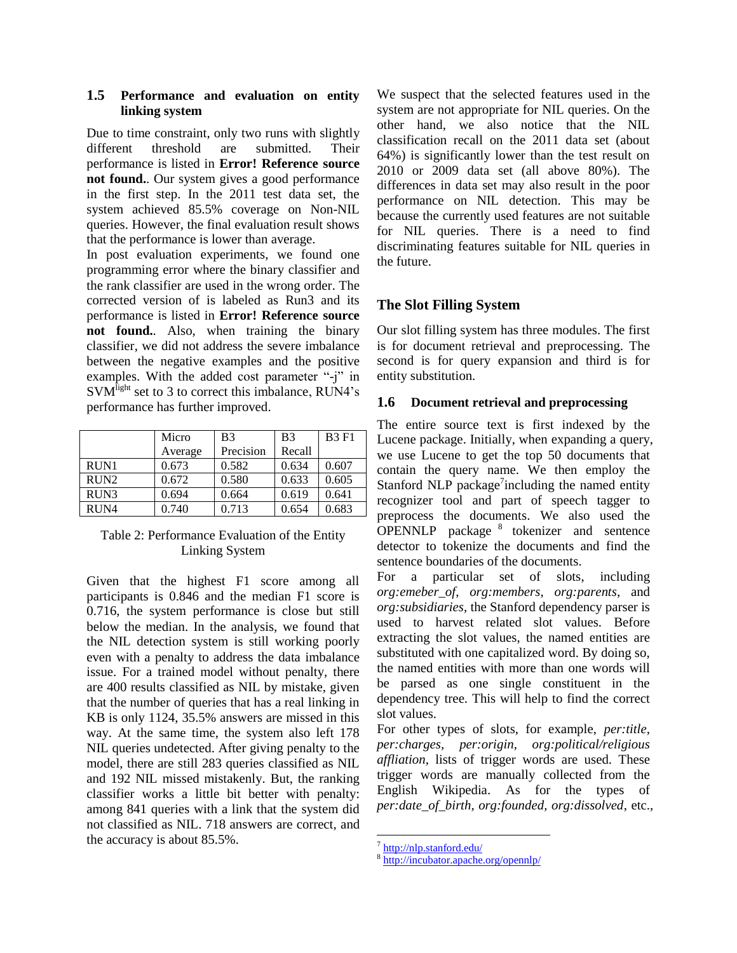### **1.5 Performance and evaluation on entity linking system**

Due to time constraint, only two runs with slightly different threshold are submitted. Their performance is listed in **Error! Reference source not found.**. Our system gives a good performance in the first step. In the 2011 test data set, the system achieved 85.5% coverage on Non-NIL queries. However, the final evaluation result shows that the performance is lower than average.

In post evaluation experiments, we found one programming error where the binary classifier and the rank classifier are used in the wrong order. The corrected version of is labeled as Run3 and its performance is listed in **Error! Reference source not found.**. Also, when training the binary classifier, we did not address the severe imbalance between the negative examples and the positive examples. With the added cost parameter "-j" in SVM<sup>light</sup> set to 3 to correct this imbalance, RUN4's performance has further improved.

|                  | Micro   | B <sub>3</sub> | B <sub>3</sub> | <b>B3 F1</b> |
|------------------|---------|----------------|----------------|--------------|
|                  | Average | Precision      | Recall         |              |
| RUN1             | 0.673   | 0.582          | 0.634          | 0.607        |
| RUN <sub>2</sub> | 0.672   | 0.580          | 0.633          | 0.605        |
| RUN3             | 0.694   | 0.664          | 0.619          | 0.641        |
| RUN4             | 0.740   | 0.713          | 0.654          | 0.683        |

### Table 2: Performance Evaluation of the Entity Linking System

Given that the highest F1 score among all participants is 0.846 and the median F1 score is 0.716, the system performance is close but still below the median. In the analysis, we found that the NIL detection system is still working poorly even with a penalty to address the data imbalance issue. For a trained model without penalty, there are 400 results classified as NIL by mistake, given that the number of queries that has a real linking in KB is only 1124, 35.5% answers are missed in this way. At the same time, the system also left 178 NIL queries undetected. After giving penalty to the model, there are still 283 queries classified as NIL and 192 NIL missed mistakenly. But, the ranking classifier works a little bit better with penalty: among 841 queries with a link that the system did not classified as NIL. 718 answers are correct, and the accuracy is about 85.5%.

We suspect that the selected features used in the system are not appropriate for NIL queries. On the other hand, we also notice that the NIL classification recall on the 2011 data set (about 64%) is significantly lower than the test result on 2010 or 2009 data set (all above 80%). The differences in data set may also result in the poor performance on NIL detection. This may be because the currently used features are not suitable for NIL queries. There is a need to find discriminating features suitable for NIL queries in the future.

# **The Slot Filling System**

Our slot filling system has three modules. The first is for document retrieval and preprocessing. The second is for query expansion and third is for entity substitution.

### **1.6 Document retrieval and preprocessing**

The entire source text is first indexed by the Lucene package. Initially, when expanding a query, we use Lucene to get the top 50 documents that contain the query name. We then employ the Stanford NLP package<sup>7</sup>including the named entity recognizer tool and part of speech tagger to preprocess the documents. We also used the  $\overline{OPENNLP}$  package  $8$  tokenizer and sentence detector to tokenize the documents and find the sentence boundaries of the documents.

For a particular set of slots, including *org:emeber\_of*, *org:members*, *org:parents*, and *org:subsidiaries*, the Stanford dependency parser is used to harvest related slot values. Before extracting the slot values, the named entities are substituted with one capitalized word. By doing so, the named entities with more than one words will be parsed as one single constituent in the dependency tree. This will help to find the correct slot values.

For other types of slots, for example, *per:title*, *per:charges*, *per:origin*, *org:political/religious affliation*, lists of trigger words are used. These trigger words are manually collected from the English Wikipedia. As for the types of *per:date\_of\_birth, org:founded, org:dissolved*, etc.,

l

<sup>&</sup>lt;sup>7</sup> <http://nlp.stanford.edu/>

<sup>8</sup> <http://incubator.apache.org/opennlp/>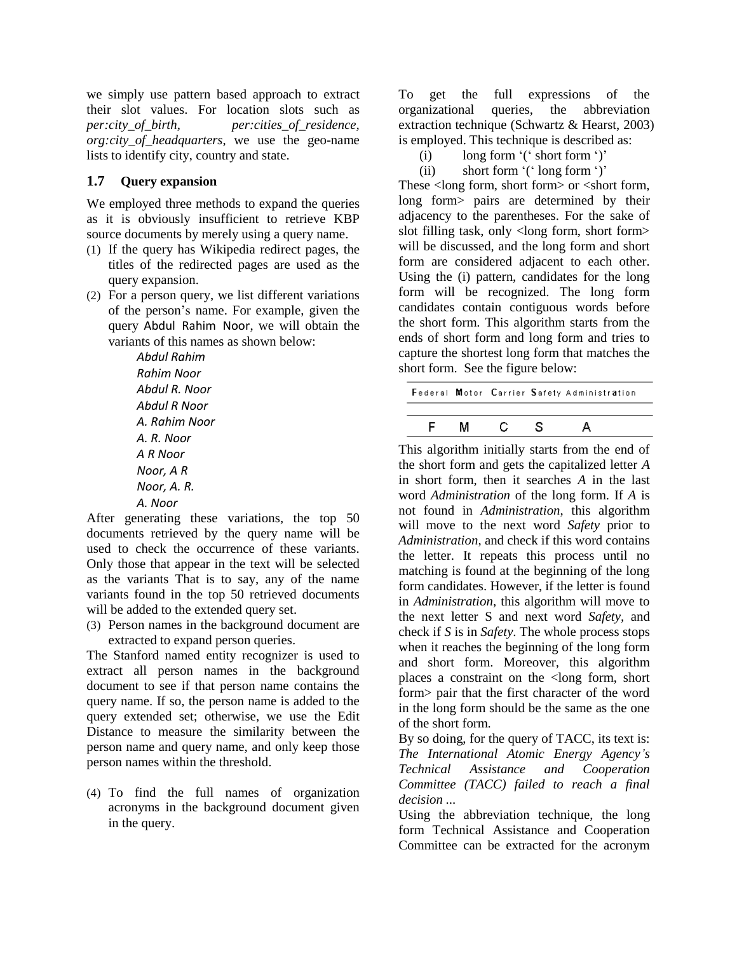we simply use pattern based approach to extract their slot values. For location slots such as *per:city\_of\_birth, per:cities\_of\_residence, org:city\_of\_headquarters*, we use the geo-name lists to identify city, country and state.

### **1.7 Query expansion**

We employed three methods to expand the queries as it is obviously insufficient to retrieve KBP source documents by merely using a query name.

- (1) If the query has Wikipedia redirect pages, the titles of the redirected pages are used as the query expansion.
- (2) For a person query, we list different variations of the person"s name. For example, given the query Abdul Rahim Noor, we will obtain the variants of this names as shown below:

*Abdul Rahim Rahim Noor Abdul R. Noor Abdul R Noor A. Rahim Noor A. R. Noor A R Noor Noor, A R Noor, A. R. A. Noor*

After generating these variations, the top 50 documents retrieved by the query name will be used to check the occurrence of these variants. Only those that appear in the text will be selected as the variants That is to say, any of the name variants found in the top 50 retrieved documents will be added to the extended query set.

(3) Person names in the background document are extracted to expand person queries.

The Stanford named entity recognizer is used to extract all person names in the background document to see if that person name contains the query name. If so, the person name is added to the query extended set; otherwise, we use the Edit Distance to measure the similarity between the person name and query name, and only keep those person names within the threshold.

(4) To find the full names of organization acronyms in the background document given in the query.

To get the full expressions of the organizational queries, the abbreviation extraction technique (Schwartz & Hearst, 2003) is employed. This technique is described as:

- (i) long form  $'$  ( $'$  short form  $'$ )'
- (ii) short form  $'$  ( $'$  long form  $'$ )

These <long form, short form> or <short form, long form> pairs are determined by their adjacency to the parentheses. For the sake of slot filling task, only <long form, short form> will be discussed, and the long form and short form are considered adjacent to each other. Using the (i) pattern, candidates for the long form will be recognized. The long form candidates contain contiguous words before the short form. This algorithm starts from the ends of short form and long form and tries to capture the shortest long form that matches the short form. See the figure below:

|   |  | Federal Motor Carrier Safety Administration |  |
|---|--|---------------------------------------------|--|
|   |  |                                             |  |
| м |  |                                             |  |

This algorithm initially starts from the end of the short form and gets the capitalized letter *A* in short form, then it searches *A* in the last word *Administration* of the long form. If *A* is not found in *Administration*, this algorithm will move to the next word *Safety* prior to *Administration*, and check if this word contains the letter. It repeats this process until no matching is found at the beginning of the long form candidates. However, if the letter is found in *Administration*, this algorithm will move to the next letter S and next word *Safety,* and check if *S* is in *Safety*. The whole process stops when it reaches the beginning of the long form and short form. Moreover, this algorithm places a constraint on the <long form, short form> pair that the first character of the word in the long form should be the same as the one of the short form.

By so doing, for the query of TACC, its text is: *The International Atomic Energy Agency's Technical Assistance and Cooperation Committee (TACC) failed to reach a final decision ...*

Using the abbreviation technique, the long form Technical Assistance and Cooperation Committee can be extracted for the acronym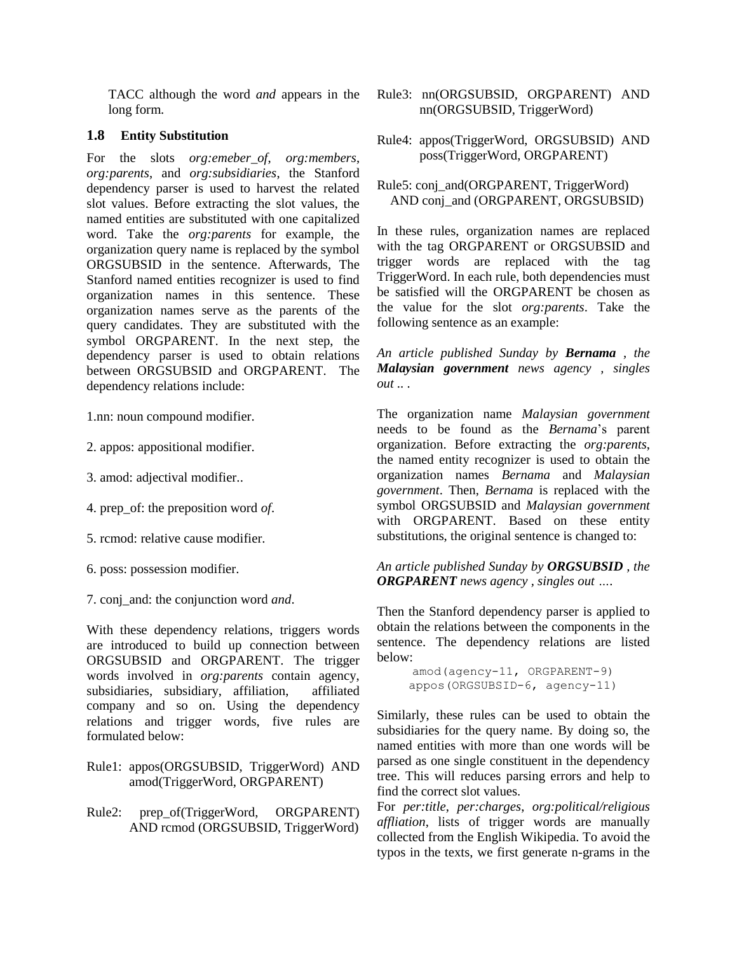TACC although the word *and* appears in the long form.

### **1.8 Entity Substitution**

For the slots *org:emeber\_of*, *org:members*, *org:parents*, and *org:subsidiaries*, the Stanford dependency parser is used to harvest the related slot values. Before extracting the slot values, the named entities are substituted with one capitalized word. Take the *org:parents* for example, the organization query name is replaced by the symbol ORGSUBSID in the sentence. Afterwards, The Stanford named entities recognizer is used to find organization names in this sentence. These organization names serve as the parents of the query candidates. They are substituted with the symbol ORGPARENT. In the next step, the dependency parser is used to obtain relations between ORGSUBSID and ORGPARENT. The dependency relations include:

1.nn: noun compound modifier.

- 2. appos: appositional modifier.
- 3. amod: adjectival modifier..
- 4. prep\_of: the preposition word *of*.
- 5. rcmod: relative cause modifier.
- 6. poss: possession modifier.
- 7. conj\_and: the conjunction word *and*.

With these dependency relations, triggers words are introduced to build up connection between ORGSUBSID and ORGPARENT. The trigger words involved in *org:parents* contain agency, subsidiaries, subsidiary, affiliation, affiliated company and so on. Using the dependency relations and trigger words, five rules are formulated below:

### Rule1: appos(ORGSUBSID, TriggerWord) AND amod(TriggerWord, ORGPARENT)

Rule2: prep\_of(TriggerWord, ORGPARENT) AND rcmod (ORGSUBSID, TriggerWord)

- Rule3: nn(ORGSUBSID, ORGPARENT) AND nn(ORGSUBSID, TriggerWord)
- Rule4: appos(TriggerWord, ORGSUBSID) AND poss(TriggerWord, ORGPARENT)

### Rule5: conj\_and(ORGPARENT, TriggerWord) AND conj\_and (ORGPARENT, ORGSUBSID)

In these rules, organization names are replaced with the tag ORGPARENT or ORGSUBSID and trigger words are replaced with the tag TriggerWord. In each rule, both dependencies must be satisfied will the ORGPARENT be chosen as the value for the slot *org:parents*. Take the following sentence as an example:

*An article published Sunday by Bernama , the Malaysian government news agency , singles out .. .*

The organization name *Malaysian government* needs to be found as the *Bernama*"s parent organization. Before extracting the *org:parents*, the named entity recognizer is used to obtain the organization names *Bernama* and *Malaysian government*. Then, *Bernama* is replaced with the symbol ORGSUBSID and *Malaysian government* with ORGPARENT. Based on these entity substitutions, the original sentence is changed to:

*An article published Sunday by ORGSUBSID , the ORGPARENT news agency , singles out ….*

Then the Stanford dependency parser is applied to obtain the relations between the components in the sentence. The dependency relations are listed below:

```
amod(agency-11, ORGPARENT-9)
appos(ORGSUBSID-6, agency-11)
```
Similarly, these rules can be used to obtain the subsidiaries for the query name. By doing so, the named entities with more than one words will be parsed as one single constituent in the dependency tree. This will reduces parsing errors and help to find the correct slot values.

For *per:title*, *per:charges*, *org:political/religious affliation*, lists of trigger words are manually collected from the English Wikipedia. To avoid the typos in the texts, we first generate n-grams in the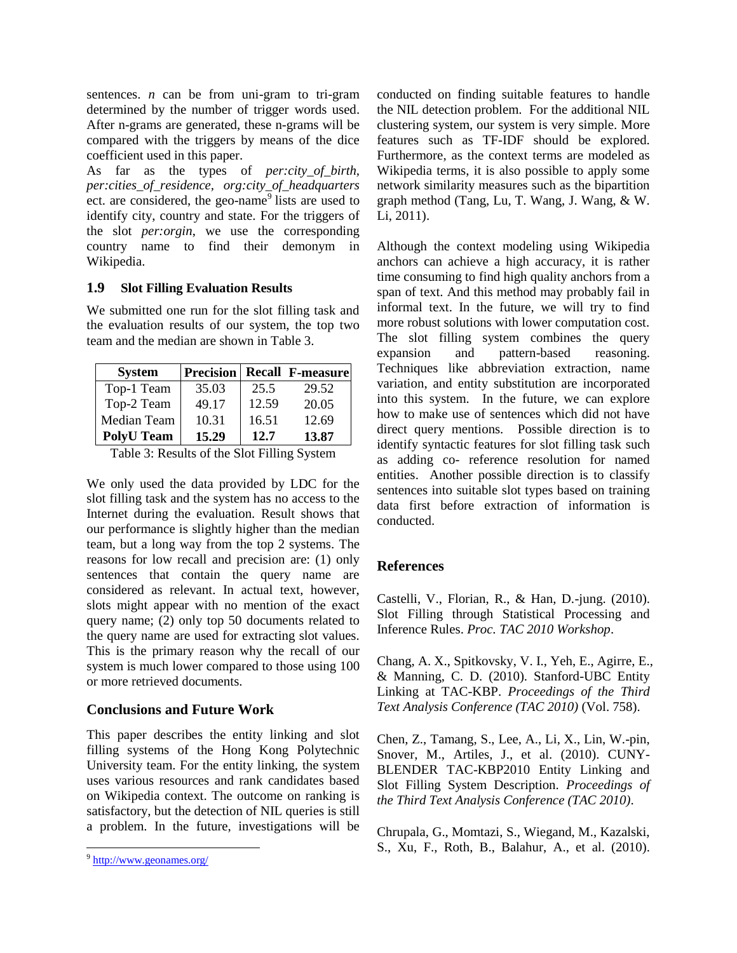sentences.  $n$  can be from uni-gram to tri-gram determined by the number of trigger words used. After n-grams are generated, these n-grams will be compared with the triggers by means of the dice coefficient used in this paper.

As far as the types of *per:city\_of\_birth, per:cities\_of\_residence, org:city\_of\_headquarters* ect. are considered, the geo-name<sup>9</sup> lists are used to identify city, country and state. For the triggers of the slot *per:orgin*, we use the corresponding country name to find their [demonym](http://en.wikipedia.org/wiki/Demonym) in Wikipedia.

### **1.9 Slot Filling Evaluation Results**

We submitted one run for the slot filling task and the evaluation results of our system, the top two team and the median are shown in Table 3.

| <b>System</b>     |       |       | <b>Precision Recall F-measure</b> |
|-------------------|-------|-------|-----------------------------------|
| Top-1 Team        | 35.03 | 25.5  | 29.52                             |
| Top-2 Team        | 49.17 | 12.59 | 20.05                             |
| Median Team       | 10.31 | 16.51 | 12.69                             |
| <b>PolyU Team</b> | 15.29 | 12.7  | 13.87                             |

Table 3: Results of the Slot Filling System

We only used the data provided by LDC for the slot filling task and the system has no access to the Internet during the evaluation. Result shows that our performance is slightly higher than the median team, but a long way from the top 2 systems. The reasons for low recall and precision are: (1) only sentences that contain the query name are considered as relevant. In actual text, however, slots might appear with no mention of the exact query name; (2) only top 50 documents related to the query name are used for extracting slot values. This is the primary reason why the recall of our system is much lower compared to those using 100 or more retrieved documents.

# **Conclusions and Future Work**

This paper describes the entity linking and slot filling systems of the Hong Kong Polytechnic University team. For the entity linking, the system uses various resources and rank candidates based on Wikipedia context. The outcome on ranking is satisfactory, but the detection of NIL queries is still a problem. In the future, investigations will be

 $\overline{a}$ 

conducted on finding suitable features to handle the NIL detection problem. For the additional NIL clustering system, our system is very simple. More features such as TF-IDF should be explored. Furthermore, as the context terms are modeled as Wikipedia terms, it is also possible to apply some network similarity measures such as the bipartition graph method (Tang, Lu, T. Wang, J. Wang, & W. Li, 2011).

Although the context modeling using Wikipedia anchors can achieve a high accuracy, it is rather time consuming to find high quality anchors from a span of text. And this method may probably fail in informal text. In the future, we will try to find more robust solutions with lower computation cost. The slot filling system combines the query expansion and pattern-based reasoning. Techniques like abbreviation extraction, name variation, and entity substitution are incorporated into this system. In the future, we can explore how to make use of sentences which did not have direct query mentions. Possible direction is to identify syntactic features for slot filling task such as adding co- reference resolution for named entities. Another possible direction is to classify sentences into suitable slot types based on training data first before extraction of information is conducted.

# **References**

Castelli, V., Florian, R., & Han, D.-jung. (2010). Slot Filling through Statistical Processing and Inference Rules. *Proc. TAC 2010 Workshop*.

Chang, A. X., Spitkovsky, V. I., Yeh, E., Agirre, E., & Manning, C. D. (2010). Stanford-UBC Entity Linking at TAC-KBP. *Proceedings of the Third Text Analysis Conference (TAC 2010)* (Vol. 758).

Chen, Z., Tamang, S., Lee, A., Li, X., Lin, W.-pin, Snover, M., Artiles, J., et al. (2010). CUNY-BLENDER TAC-KBP2010 Entity Linking and Slot Filling System Description. *Proceedings of the Third Text Analysis Conference (TAC 2010)*.

Chrupala, G., Momtazi, S., Wiegand, M., Kazalski, S., Xu, F., Roth, B., Balahur, A., et al. (2010).

<sup>&</sup>lt;sup>9</sup> <http://www.geonames.org/>